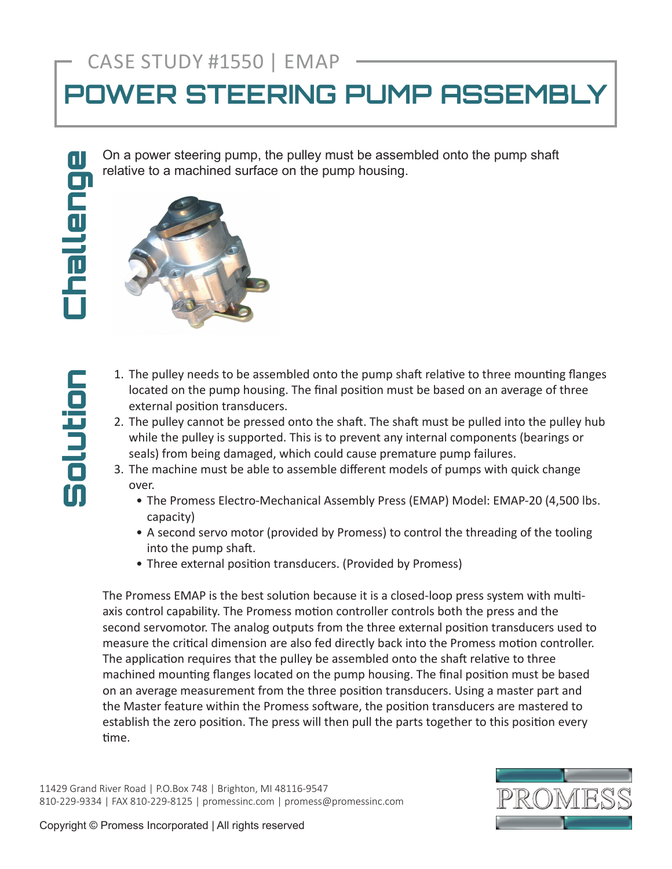## CASE STUDY #1550 | EMAP

## **POWER STEERING PUMP ASSEMBLY**

On a power steering pump, the pulley must be assembled onto the pump shaft relative to a machined surface on the pump housing.

Solution

nolution



- 1. The pulley needs to be assembled onto the pump shaft relative to three mounting flanges located on the pump housing. The final position must be based on an average of three external position transducers.
- 2. The pulley cannot be pressed onto the shaft. The shaft must be pulled into the pulley hub while the pulley is supported. This is to prevent any internal components (bearings or seals) from being damaged, which could cause premature pump failures.
- 3. The machine must be able to assemble different models of pumps with quick change over.
	- The Promess Electro-Mechanical Assembly Press (EMAP) Model: EMAP-20 (4,500 lbs. capacity)
	- A second servo motor (provided by Promess) to control the threading of the tooling into the pump shaft.
	- Three external position transducers. (Provided by Promess)

The Promess EMAP is the best solution because it is a closed-loop press system with multiaxis control capability. The Promess motion controller controls both the press and the second servomotor. The analog outputs from the three external position transducers used to measure the critical dimension are also fed directly back into the Promess motion controller. The application requires that the pulley be assembled onto the shaft relative to three machined mounting flanges located on the pump housing. The final position must be based on an average measurement from the three position transducers. Using a master part and the Master feature within the Promess software, the position transducers are mastered to establish the zero position. The press will then pull the parts together to this position every time.